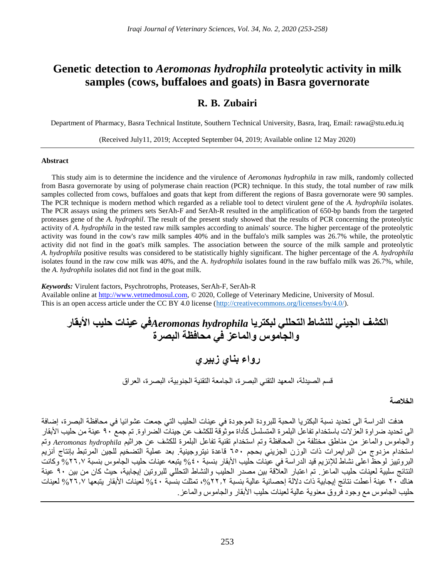# **Genetic detection to** *Aeromonas hydrophila* **proteolytic activity in milk samples (cows, buffaloes and goats) in Basra governorate**

# **R. B. Zubairi**

Department of Pharmacy, Basra Technical Institute, Southern Technical University, Basra, Iraq, Email: rawa@stu.edu.iq

(Received July11, 2019; Accepted September 04, 2019; Available online 12 May 2020)

# **Abstract**

This study aim is to determine the incidence and the virulence of *Aeromonas hydrophila* in raw milk, randomly collected from Basra governorate by using of polymerase chain reaction (PCR) technique. In this study, the total number of raw milk samples collected from cows, buffaloes and goats that kept from different the regions of Basra governorate were 90 samples. The PCR technique is modern method which regarded as a reliable tool to detect virulent gene of the *A. hydrophila* isolates. The PCR assays using the primers sets SerAh-F and SerAh-R resulted in the amplification of 650-bp bands from the targeted proteases gene of the *A. hydrophil*. The result of the present study showed that the results of PCR concerning the proteolytic activity of *A. hydrophila* in the tested raw milk samples according to animals' source. The higher percentage of the proteolytic activity was found in the cow's raw milk samples 40% and in the buffalo's milk samples was 26.7% while, the proteolytic activity did not find in the goat's milk samples. The association between the source of the milk sample and proteolytic *A. hydrophila* positive results was considered to be statistically highly significant. The higher percentage of the *A. hydrophila* isolates found in the raw cow milk was 40%, and the A*. hydrophila* isolates found in the raw buffalo milk was 26.7%, while, the *A. hydrophila* isolates did not find in the goat milk.

*Keywords:* Virulent factors, Psychrotrophs, Proteases, SerAh-F, SerAh-R Available online at [http://www.vetmedmosul.com,](http://www.vetmedmosul.com/) © 2020, College of Veterinary Medicine, University of Mosul. This is an open access article under the CC BY 4.0 license [\(http://creativecommons.org/licenses/by/4.0/\)](http://creativecommons.org/licenses/by/4.0/).

**الكشف الجيني للنشاط التحللي لبكتريا** *hydrophila Aeromonas***في عينات حليب األبقار والجاموس والماعز في محافظة البصرة**

**رواء بناي زبيري**

قسم الصيدلة، المعهد التقني البصرة، الجامعة التقنية الجنوبية، البصرة، العراق

# **الخالصة**

هدفت الدراسة الى تحديد نسبة البكتريا المحبة للبرودة الموجودة في عينات الحليب التي جمعت عشوائيا في محافظة البصرة، إضافة الى تحديد ضراوة العزالت باستخدام تفاعل البلمرة المتسلسل كأداة موثوقة للكشف عن جينات الضراوة. تم جمع 90 عينة من حليب األبقار والجاموس والماعز من مناطق مختلفة من المحافظة وتم استخدام تقنية تفاعل البلمرة للكشف عن جراثيم *hydrophila Aeromonas* وتم استخدام مزدوج من البرايمرات ذات الوزن الجزيئي بحجم 650 قاعدة نيتروجينية. بعد عملية التضخيم للجين المرتبط بإنتاج أنزيم البروتييز لوحظ اعلى نشاط للإنزيم قيد الدراسة في عينات حليب الأبقار بنسبة ٤٠% يتبعه عينات حليب الجاموس بنسبة ٢٦٫٧ وكانت النتائج سلبية لعينات حليب الماعز. تم اعتبار العالقة بين مصدر الحليب والنشاط التحللي للبروتين إيجابية، حيث كان من بين 90 عينة هناك ٢٠ عينة أعطت نتائج إيجابية ذات دلالة إحصائية عالية بنسبة ٢٢٫٢، تمثلت بنسبة ٤٠% لعينات الأبقار يتبعها 7٦٫٧ لعينات حليب الجاموس مع وجود فروق معنوية عالية لعينات حليب الأبقار والجاموس والماعز .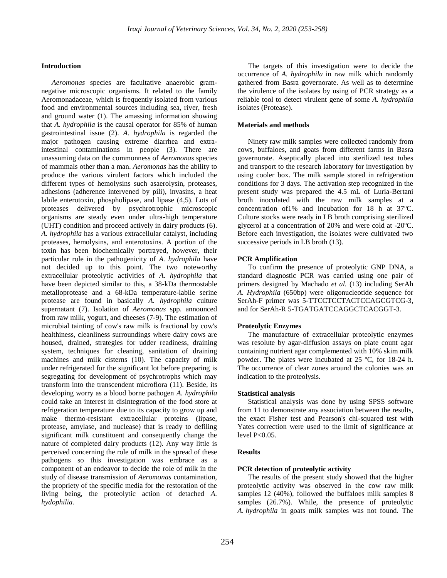#### **Introduction**

*Aeromonas* species are facultative anaerobic gramnegative microscopic organisms. It related to the family Aeromonadaceae, which is frequently isolated from various food and environmental sources including sea, river, fresh and ground water (1). The amassing information showing that *A. hydrophila* is the causal operator for 85% of human gastrointestinal issue (2). *A. hydrophila* is regarded the major pathogen causing extreme diarrhea and extraintestinal contaminations in people (3). There are unassuming data on the commonness of *Aeromonas* species of mammals other than a man. *Aeromonas* has the ability to produce the various virulent factors which included the different types of hemolysins such asaerolysin, proteases, adhesions (adherence intervened by pili), invasins, a heat labile enterotoxin, phospholipase, and lipase (4,5). Lots of proteases delivered by psychrotrophic microscopic organisms are steady even under ultra-high temperature (UHT) condition and proceed actively in dairy products (6). *A. hydrophila* has a various extracellular catalyst, including proteases, hemolysins, and enterotoxins. A portion of the toxin has been biochemically portrayed, however, their particular role in the pathogenicity of *A. hydrophila* have not decided up to this point. The two noteworthy extracellular proteolytic activities of *A. hydrophila* that have been depicted similar to this, a 38-kDa thermostable metalloprotease and a 68-kDa temperature-labile serine protease are found in basically *A. hydrophila* culture supernatant (7). Isolation of *Aeromonas* spp. announced from raw milk, yogurt, and cheeses (7-9). The estimation of microbial tainting of cow's raw milk is fractional by cow's healthiness, cleanliness surroundings where dairy cows are housed, drained, strategies for udder readiness, draining system, techniques for cleaning, sanitation of draining machines and milk cisterns (10). The capacity of milk under refrigerated for the significant lot before preparing is segregating for development of psychrotrophs which may transform into the transcendent microflora (11). Beside, its developing worry as a blood borne pathogen *A. hydrophila* could take an interest in disintegration of the food store at refrigeration temperature due to its capacity to grow up and make thermo-resistant extracellular proteins (lipase, protease, amylase, and nuclease) that is ready to defiling significant milk constituent and consequently change the nature of completed dairy products (12). Any way little is perceived concerning the role of milk in the spread of these pathogens so this investigation was embrace as a component of an endeavor to decide the role of milk in the study of disease transmission of *Aeromonas* contamination, the propriety of the specific media for the restoration of the living being, the proteolytic action of detached *A. hydophilia.*

The targets of this investigation were to decide the occurrence of *A. hydrophila* in raw milk which randomly gathered from Basra governorate. As well as to determine the virulence of the isolates by using of PCR strategy as a reliable tool to detect virulent gene of some *A. hydrophila*  isolates (Protease).

#### **Materials and methods**

Ninety raw milk samples were collected randomly from cows, buffaloes, and goats from different farms in Basra governorate. Aseptically placed into sterilized test tubes and transport to the research laboratory for investigation by using cooler box. The milk sample stored in refrigeration conditions for 3 days. The activation step recognized in the present study was prepared the 4.5 mL of Luria-Bertani broth inoculated with the raw milk samples at a concentration of  $1\%$  and incubation for  $18$  h at  $37^{\circ}$ C. Culture stocks were ready in LB broth comprising sterilized glycerol at a concentration of 20% and were cold at -20ºC. Before each investigation, the isolates were cultivated two successive periods in LB broth  $(13)$ .

#### **PCR Amplification**

To confirm the presence of proteolytic GNP DNA, a standard diagnostic PCR was carried using one pair of primers designed by Machado *et al.* (13) including SerAh *A. Hydrophila* (650bp) were oligonucleotide sequence for SerAh-F primer was 5-TTCCTCCTACTCCAGCGTCG-3, and for SerAh-R 5-TGATGATCCAGGCTCACGGT-3.

#### **Proteolytic Enzymes**

The manufacture of extracellular proteolytic enzymes was resolute by agar-diffusion assays on plate count agar containing nutrient agar complemented with 10% skim milk powder. The plates were incubated at 25 ºC, for 18-24 h. The occurrence of clear zones around the colonies was an indication to the proteolysis.

#### **Statistical analysis**

Statistical analysis was done by using SPSS software from 11 to demonstrate any association between the results, the exact Fisher test and Pearson's chi-squared test with Yates correction were used to the limit of significance at level  $P<0.05$ .

#### **Results**

# **PCR detection of proteolytic activity**

The results of the present study showed that the higher proteolytic activity was observed in the cow raw milk samples 12 (40%), followed the buffaloes milk samples 8 samples (26.7%). While, the presence of proteolytic *A. hydrophila* in goats milk samples was not found. The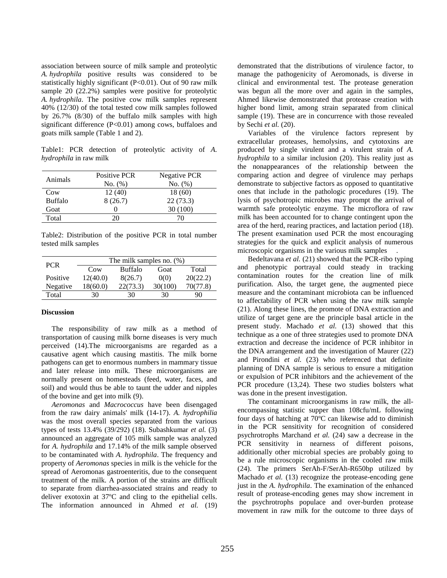association between source of milk sample and proteolytic *A. hydrophila* positive results was considered to be statistically highly significant (P<0.01). Out of 90 raw milk sample 20 (22.2%) samples were positive for proteolytic *A. hydrophila*. The positive cow milk samples represent 40% (12/30) of the total tested cow milk samples followed by 26.7% (8/30) of the buffalo milk samples with high significant difference (P<0.01) among cows, buffaloes and goats milk sample (Table 1 and 2).

Table1: PCR detection of proteolytic activity of *A. hydrophila* in raw milk

| Animals        | Positive PCR | Negative PCR |
|----------------|--------------|--------------|
|                | No. (%)      | No. (%)      |
| Cow            | 12(40)       | 18 (60)      |
| <b>Buffalo</b> | 8(26.7)      | 22(73.3)     |
| Goat           |              | 30 (100)     |
| Total          | 20.          | 70           |

Table2: Distribution of the positive PCR in total number tested milk samples

| <b>PCR</b> | The milk samples no. $(\%)$ |                |         |          |  |
|------------|-----------------------------|----------------|---------|----------|--|
|            | C <sub>0</sub>              | <b>Buffalo</b> | Goat    | Total    |  |
| Positive   | 12(40.0)                    | 8(26.7)        | 0(0)    | 20(22.2) |  |
| Negative   | 18(60.0)                    | 22(73.3)       | 30(100) | 70(77.8) |  |
| Total      | 30                          | 30             | 30      | 90       |  |

# **Discussion**

The responsibility of raw milk as a method of transportation of causing milk borne diseases is very much perceived (14).The microorganisms are regarded as a causative agent which causing mastitis. The milk borne pathogens can get to enormous numbers in mammary tissue and later release into milk. These microorganisms are normally present on homesteads (feed, water, faces, and soil) and would thus be able to taunt the udder and nipples of the bovine and get into milk (9).

*Aeromonas* and *Macrococcus* have been disengaged from the raw dairy animals' milk (14-17). *A. hydrophilia* was the most overall species separated from the various types of tests 13.4% (39/292) (18). Subashkumar *et al.* (3) announced an aggregate of 105 milk sample was analyzed for *A. hydrophila* and 17.14% of the milk sample observed to be contaminated with *A. hydrophila*. The frequency and property of *Aeromonas* species in milk is the vehicle for the spread of Aeromonas gastroenteritis, due to the consequent treatment of the milk. A portion of the strains are difficult to separate from diarrhea-associated strains and ready to deliver exotoxin at 37ºC and cling to the epithelial cells. The information announced in Ahmed *et al.* (19) demonstrated that the distributions of virulence factor, to manage the pathogenicity of Aeromonads, is diverse in clinical and environmental test. The protease generation was begun all the more over and again in the samples, Ahmed likewise demonstrated that protease creation with higher bond limit, among strain separated from clinical sample (19). These are in concurrence with those revealed by Sechi *et al.* (20).

Variables of the virulence factors represent by extracellular proteases, hemolysins, and cytotoxins are produced by single virulent and a virulent strain of *A. hydrophila* to a similar inclusion (20). This reality just as the nonappearances of the relationship between the comparing action and degree of virulence may perhaps demonstrate to subjective factors as opposed to quantitative ones that include in the pathologic procedures (19). The lysis of psychotropic microbes may prompt the arrival of warmth safe proteolytic enzyme. The microflora of raw milk has been accounted for to change contingent upon the area of the herd, rearing practices, and lactation period (18). The present examination used PCR the most encouraging strategies for the quick and explicit analysis of numerous microscopic organisms in the various milk samples .

Bedeltavana *et al.* (21) showed that the PCR-ribo typing and phenotypic portrayal could steady in tracking contamination routes for the creation line of milk purification. Also, the target gene, the augmented piece measure and the contaminant microbiota can be influenced to affectability of PCR when using the raw milk sample (21). Along these lines, the promote of DNA extraction and utilize of target gene are the principle basal article in the present study. Machado *et al.* (13) showed that this technique as a one of three strategies used to promote DNA extraction and decrease the incidence of PCR inhibitor in the DNA arrangement and the investigation of Maurer (22) and Pirondini *et al.* (23) who referenced that definite planning of DNA sample is serious to ensure a mitigation or expulsion of PCR inhibitors and the achievement of the PCR procedure (13,24). These two studies bolsters what was done in the present investigation.

The contaminant microorganisms in raw milk, the allencompassing statistic supper than 108cfu/mL following four days of hatching at 70ºC can likewise add to diminish in the PCR sensitivity for recognition of considered psychrotrophs Marchand *et al.* (24) saw a decrease in the PCR sensitivity in nearness of different poisons, additionally other microbial species are probably going to be a rule microscopic organisms in the cooled raw milk (24). The primers SerAh-F/SerAh-R650bp utilized by Machado *et al.* (13) recognize the protease-encoding gene just in the *A. hydrophila*. The examination of the enhanced result of protease-encoding genes may show increment in the psychrotrophs populace and over-burden protease movement in raw milk for the outcome to three days of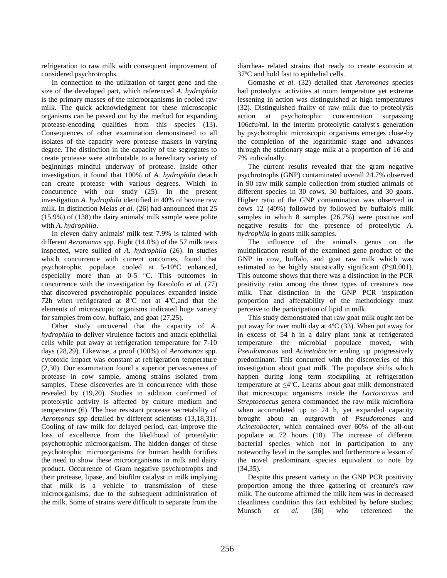refrigeration to raw milk with consequent improvement of considered psychrotrophs.

In connection to the utilization of target gene and the size of the developed part, which referenced *A. hydrophila* is the primary masses of the microorganisms in cooled raw milk. The quick acknowledgment for these microscopic organisms can be passed out by the method for expanding protease-encoding qualities from this species (13). Consequences of other examination demonstrated to all isolates of the capacity were protease makers in varying degree. The distinction in the capacity of the segregates to create protease were attributable to a hereditary variety of beginnings mindful underway of protease. Inside other investigation, it found that 100% of *A. hydrophila* detach can create protease with various degrees. Which in concurrence with our study (25). In the present investigation *A. hydrophila* identified in 40% of bovine raw milk. In distinction Melas *et al.* (26) had announced that 25 (15.9%) of (138) the dairy animals' milk sample were polite with *A. hydrophila*.

In eleven dairy animals' milk test 7.9% is tainted with different *Aeromonas* spp. Eight (14.0%) of the 57 milk tests inspected, were sullied of *A. hydrophila* (26). In studies which concurrence with current outcomes, found that psychotrophic populace cooled at 5-10ºC enhanced, especially more than at 0-5 ºC. This outcomes in concurrence with the investigation by Rasolofo *et al.* (27) that discovered psychotrophic populaces expanded inside 72h when refrigerated at 8ºC not at 4ºC,and that the elements of microscopic organisms indicated huge variety for samples from cow, buffalo, and goat (27,25).

Other study uncovered that the capacity of *A. hydrophila* to deliver virulence factors and attack epithelial cells while put away at refrigeration temperature for 7-10 days (28,29). Likewise, a proof (100%) of *Aeromonas* spp. cytotoxic impact was constant at refrigeration temperature (2,30). Our examination found a superior pervasiveness of protease in cow sample, among strains isolated from samples. These discoveries are in concurrence with those revealed by (19,20). Studies in addition confirmed of proteolytic activity is affected by culture medium and temperature (6). The heat resistant protease secretability of *Aeromonas spp* detailed by different scientists (13,18,31). Cooling of raw milk for delayed period, can improve the loss of excellence from the likelihood of proteolytic psychotrophic microorganism. The hidden danger of these psychotrophic microorganisms for human health fortifies the need to show these microorganisms in milk and dairy product. Occurrence of Gram negative psychrotrophs and their protease, lipase, and biofilm catalyst in milk implying that milk is a vehicle to transmission of these microorganisms, due to the subsequent administration of the milk. Some of strains were difficult to separate from the

diarrhea- related strains that ready to create exotoxin at 37ºC and hold fast to epithelial cells.

Gomashe *et al.* (32) detailed that *Aeromonas* species had proteolytic activities at room temperature yet extreme lessening in action was distinguished at high temperatures (32). Distinguished frailty of raw milk due to proteolysis action at psychotrophic concentration surpassing 106cfu/ml. In the interim proteolytic catalyst's generation by psychotrophic microscopic organisms emerges close-by the completion of the logarithmic stage and advances through the stationary stage milk at a proportion of 16 and 7% individually.

The current results revealed that the gram negative psychrotrophs (GNP) contaminated overall 24.7% observed in 90 raw milk sample collection from studied animals of different species in 30 cows, 30 buffaloes, and 30 goats. Higher ratio of the GNP contamination was observed in cows 12 (40%) followed by followed by buffalo's milk samples in which 8 samples (26.7%) were positive and negative results for the presence of proteolytic *A. hydrophila* in goats milk samples.

The influence of the animal's genus on the multiplication result of the examined gene product of the GNP in cow, buffalo, and goat raw milk which was estimated to be highly statistically significant (P≤0.001). This outcome shows that there was a distinction in the PCR positivity ratio among the three types of creature's raw milk. That distinction in the GNP PCR inspiration proportion and affectability of the methodology must perceive to the participation of lipid in milk.

This study demonstrated that raw goat milk ought not be put away for over multi day at 4ºC (33). When put away for in excess of 54 h in a dairy plant tank at refrigerated temperature the microbial populace moved, with *Pseudomonas* and *Acinetobacter* ending up progressively predominant. This concurred with the discoveries of this investigation about goat milk. The populace shifts which happen during long term stockpiling at refrigeration temperature at ≤4ºC. Learns about goat milk demonstrated that microscopic organisms inside the *Lactococcus* and *Streptococcus* genera commanded the raw milk microflora when accumulated up to 24 h, yet expanded capacity brought about an outgrowth of *Pseudomonas* and *Acinetobacter*, which contained over 60% of the all-out populace at 72 hours (18). The increase of different bacterial species which not in participation to any noteworthy level in the samples and furthermore a lesson of the novel predominant species equivalent to note by (34,35).

Despite this present variety in the GNP PCR positivity proportion among the three gathering of creature's raw milk. The outcome affirmed the milk item was in decreased cleanliness condition this fact exhibited by before studies; Munsch *et al.* (36) who referenced the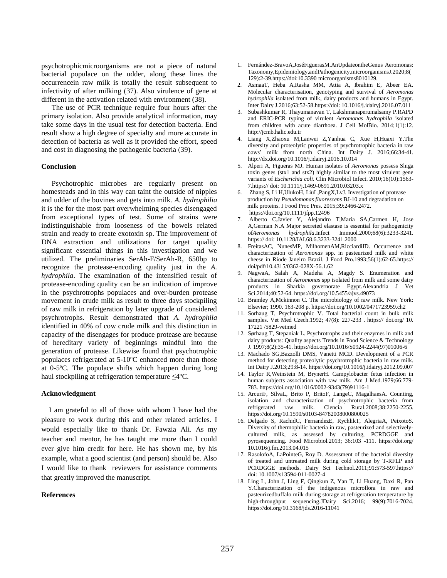psychotrophicmicroorganisms are not a piece of natural bacterial populace on the udder, along these lines the occurrencein raw milk is totally the result subsequent to infectivity of after milking (37). Also virulence of gene at different in the activation related with environment (38).

The use of PCR technique require four hours after the primary isolation. Also provide analytical information, may take some days in the usual test for detection bacteria. End result show a high degree of specialty and more accurate in detection of bacteria as well as it provided the effort, speed and cost in diagnosing the pathogenic bacteria (39).

#### **Conclusion**

Psychotrophic microbes are regularly present on homesteads and in this way can taint the outside of nipples and udder of the bovines and gets into milk. *A. hydrophilia*  it is the for the most part overwhelming species disengaged from exceptional types of test. Some of strains were indistinguishable from looseness of the bowels related strain and ready to create exotoxin sp. The improvement of DNA extraction and utilizations for target quality significant essential things in this investigation and we utilized. The preliminaries SerAh-F/SerAh-R, 650bp to recognize the protease-encoding quality just in the *A. hydrophila*. The examination of the intensified result of protease-encoding quality can be an indication of improve in the psychrotrophs populaces and over-burden protease movement in crude milk as result to three days stockpiling of raw milk in refrigeration by later upgrade of considered psychrotrophs. Result demonstrated that *A. hydrophila* identified in 40% of cow crude milk and this distinction in capacity of the disengages for produce protease are because of hereditary variety of beginnings mindful into the generation of protease. Likewise found that psychotrophic populaces refrigerated at 5-10ºC enhanced more than those at 0-5ºC. The populace shifts which happen during long haul stockpiling at refrigeration temperature ≤4ºC.

#### **Acknowledgment**

 I am grateful to all of those with whom I have had the pleasure to work during this and other related articles. I would especially like to thank Dr. Fawzia Ali. As my teacher and mentor, he has taught me more than I could ever give him credit for here. He has shown me, by his example, what a good scientist (and person) should be. Also I would like to thank reviewers for assistance comments that greatly improved the manuscript.

#### **References**

- 1. Fernández-BravoA,JoséFiguerasM.AnUpdateontheGenus Aeromonas: Taxonomy,Epidemiology,andPathogenicity.microorganismsJ.2020;8( 129):2-39.https://doi:10.3390 microorganisms8010129.
- 2. AsmaaT, Heba A,Rasha MM, Attia A, Ibrahim E, Abeer EA. Molecular characterisation, genotyping and survival of *Aeromonas hydrophila* isolated from milk, dairy products and humans in Egypt. Inter Dairy J.2016;63:52-58.https://doi: [10.1016/j.idairyj.2016.07.011](http://dx.doi.org/10.1016%2Fj.idairyj.2016.07.011)
- 3. Subashkumar R, Thayumanavan T, Lakshmanaperumalsamy P.RAPD and ERIC-PCR typing of virulent *Aeromonas hydrophila* isolated from children with acute diarrhoea. J Cell MolBio. 2014;1(1):12. http://jcmb.halic.edu.tr
- 4. Liang X,Zhaoxu M,Lanwei Z,Yanhua C, Xue H,Huaxi Y.The diversity and proteolytic properties of psychrotrophic bacteria in raw cows' milk from north China. Int Dairy J. 2016;66:34-41. http://dx.doi.org/10.1016/j.idairyj.2016.10.014
- 5. Alperi A, Figueras MJ. Human isolates of *Aeromonas* possess Shiga toxin genes (stx1 and stx2) highly similar to the most virulent gene variants of *Escherichia coli*. Clin Microbiol Infect. 2010;16(10):1563- 7.https:// doi: 10.1111/j.1469-0691.2010.03203.x
- 6. Zhang S, Li H,UlukoH, LiuL,PangX,LvJ. Investigation of protease production by *Pseudomonas fluorescens* BJ-10 and degradation on milk proteins. J Food Proc Pres. 2015;39:2466-2472. <https://doi.org/10.1111/jfpp.12496>
- 7. Alberto C,Javier Y, Alejandro T,Maria SA,Carmen H, Jose A,German N.A Major secreted elastase is essential for pathogenicity of*Aeromonas hydrophila*.Infect Immuol.2000;68(6):3233-3241. https:// doi: 10.1128/IAI.68.6.3233-3241.2000
- 8. FreitasAC, NunesMP, MilhomenAM,RicciardiID. Occurrence and characterization of *Aeromonas* spp. in pasteurized milk and white cheese in Riode Janeiro Brazil. J Food Pro.1993;56(1):62-65.https:// doi/pdf/10.4315/0362-028X-56.1.62
- 9. NagwaA, Salah A, Madeha A, Magdy S. Enumeration and characterization of *Aeromonas* spp isolated from milk and some dairy products in Sharkia governorate Egypt.Alexandria J Vet Sci.2014;40:52-64. https://doi.org/10.5455/ajvs.49073
- 10. Bramley A,Mckinnon C. The microbiology of raw milk. New York: Elsevier; 1990. 163-208 p. https://doi.org/10.1002/0471723959.ch2
- 11. Sorhaug T, Psychrotrophic V. Total bacterial count in bulk milk samples. Vet Med Czech.1992; 47(8): 227-233 . https:// doi.org/ 10. 17221 /5829-vetmed
- 12. [Sørhaug](https://www.sciencedirect.com/science/article/abs/pii/S0924224497010066#!) T[, Stepaniak](https://www.sciencedirect.com/science/article/abs/pii/S0924224497010066#!) L. Psychrotrophs and their enzymes in milk and dairy products: Quality aspect[s Trends in Food Science & Technology](https://www.sciencedirect.com/science/journal/09242244) J. 1997;8(2):35-41. https://doi.org/10.1016/S0924-2244(97)01006-6
- 13. Machado SG,Bazzolli DMS, Vanetti MCD. Development of a PCR method for detecting proteolytic psychrotrophic bacteria in raw milk. Int Dairy J.2013;29:8-14. https://doi.org/10.1016/j.idairyj.2012.09.007
- 14. Taylor R,Weinstein M, BrynerH. Campylobacter fetus infection in human subjects association with raw milk. Am J Med.1979;66:779- 783. https://doi.org/10.1016/0002-9343(79)91116-1
- 15. ArcuriF, SilvaL, Brito P, BritoF, LangeC, MagalhaesA. Counting, isolation and characterization of psychrotrophic bacteria from refrigerated raw milk. Ciencia Rural.2008;38:2250-2255. https://doi.org/10.1590/s0103-84782008000800025
- 16. Delgado S, RachidC, FernandezE, RychlikT, AlegriaA, PeixotoS. Diversity of thermophilic bacteria in raw, pasteurized and selectivelycultured milk, as assessed by culturing, PCRDGGE and pyrosequencing. Food Microbiol.2013; 36:103 -111. <https://doi.org/> 10.1016/j.fm.2013.04.015
- 17. RasolofoA, LaPointeG, Roy D. Assessment of the bacterial diversity of treated and untreated milk during cold storage by T-RFLP and PCRDGGE methods. Dairy Sci Technol.2011;91:573-597.https:// doi: 10.1007/s13594-011-0027-4
- 18. Ling L, John J, Ling F, Qingkun Z, Yan T, Li Huang, Daxi R, Pan Y.Characterization of the indigenous microflora in raw and pasteurizedbuffalo milk during storage at refrigeration temperature by high-throughput sequencing.JDairy Sci.2016; 99(9):7016-7024. https://doi.org/10.3168/jds.2016-11041